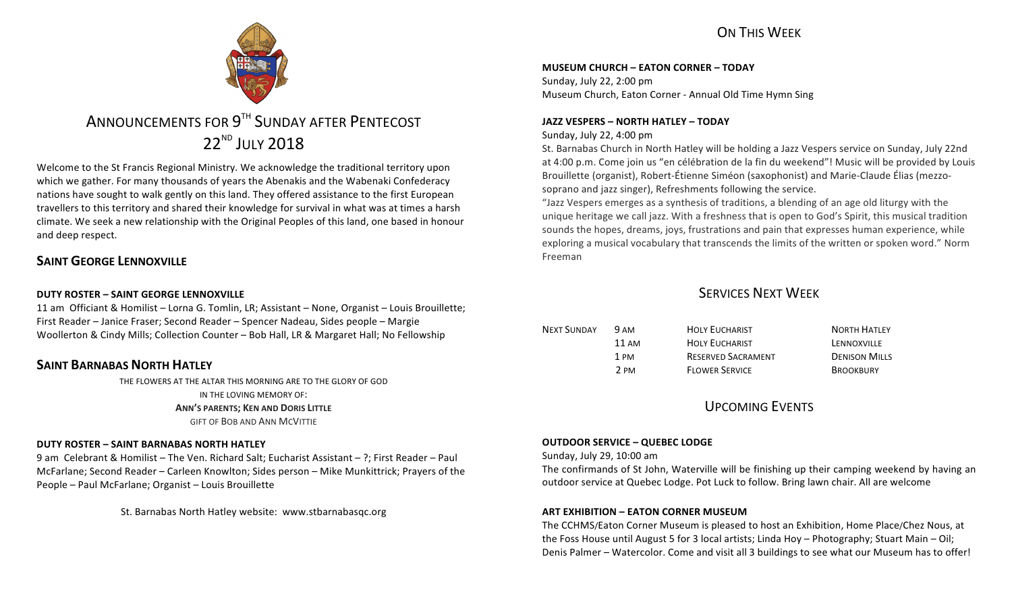## ON THIS WFFK



# ANNOUNCEMENTS FOR 9<sup>TH</sup> SUNDAY AFTER PENTECOST 22<sup>ND</sup> JULY 2018

Welcome to the St Francis Regional Ministry. We acknowledge the traditional territory upon which we gather. For many thousands of years the Abenakis and the Wabenaki Confederacy nations have sought to walk gently on this land. They offered assistance to the first European travellers to this territory and shared their knowledge for survival in what was at times a harsh climate. We seek a new relationship with the Original Peoples of this land, one based in honour and deep respect.

### **SAINT GEORGE LENNOXVILLE**

### **DUTY ROSTER – SAINT GEORGE LENNOXVILLE**

11 am Officiant & Homilist – Lorna G. Tomlin, LR; Assistant – None, Organist – Louis Brouillette; First Reader – Janice Fraser; Second Reader – Spencer Nadeau, Sides people – Margie Woollerton & Cindy Mills; Collection Counter - Bob Hall, LR & Margaret Hall; No Fellowship

### **SAINT BARNABAS NORTH HATLEY**

THE FLOWERS AT THE ALTAR THIS MORNING ARE TO THE GLORY OF GOD IN THE LOVING MEMORY OF: **ANN'S PARENTS; KEN AND DORIS LITTLE GIFT OF BOB AND ANN MCVITTIE** 

#### **DUTY ROSTER – SAINT BARNABAS NORTH HATLEY**

9 am Celebrant & Homilist – The Ven. Richard Salt; Eucharist Assistant – ?; First Reader – Paul McFarlane; Second Reader – Carleen Knowlton; Sides person – Mike Munkittrick; Prayers of the People - Paul McFarlane; Organist - Louis Brouillette

St. Barnabas North Hatley website: www.stbarnabasqc.org

#### **MUSEUM CHURCH – EATON CORNER – TODAY**

Sunday, July 22, 2:00 pm Museum Church, Eaton Corner - Annual Old Time Hymn Sing

#### **JAZZ VESPERS – NORTH HATLEY – TODAY**

Sunday, July 22, 4:00 pm

St. Barnabas Church in North Hatley will be holding a Jazz Vespers service on Sunday, July 22nd at 4:00 p.m. Come join us "en célébration de la fin du weekend"! Music will be provided by Louis Brouillette (organist), Robert-Étienne Siméon (saxophonist) and Marie-Claude Élias (mezzosoprano and jazz singer), Refreshments following the service.

"Jazz Vespers emerges as a synthesis of traditions, a blending of an age old liturgy with the unique heritage we call jazz. With a freshness that is open to God's Spirit, this musical tradition sounds the hopes, dreams, joys, frustrations and pain that expresses human experience, while exploring a musical vocabulary that transcends the limits of the written or spoken word." Norm Freeman

### SERVICES NEXT WEEK

| NEXT SUNDAY | 9 AM  | <b>HOLY EUCHARIST</b>     | <b>NORTH HATLEY</b>  |
|-------------|-------|---------------------------|----------------------|
|             | 11 AM | <b>HOLY EUCHARIST</b>     | LENNOXVILLE          |
|             | 1 PM  | <b>RESERVED SACRAMENT</b> | <b>DENISON MILLS</b> |
|             | 2 PM  | <b>FLOWER SERVICE</b>     | <b>BROOKBURY</b>     |

### UPCOMING EVENTS

#### **OUTDOOR SERVICE – QUEBEC LODGE**

Sunday, July 29, 10:00 am

The confirmands of St John, Waterville will be finishing up their camping weekend by having an outdoor service at Quebec Lodge. Pot Luck to follow. Bring lawn chair. All are welcome

#### **ART EXHIBITION – EATON CORNER MUSEUM**

The CCHMS/Eaton Corner Museum is pleased to host an Exhibition, Home Place/Chez Nous, at the Foss House until August 5 for 3 local artists; Linda Hoy – Photography; Stuart Main – Oil; Denis Palmer – Watercolor. Come and visit all 3 buildings to see what our Museum has to offer!